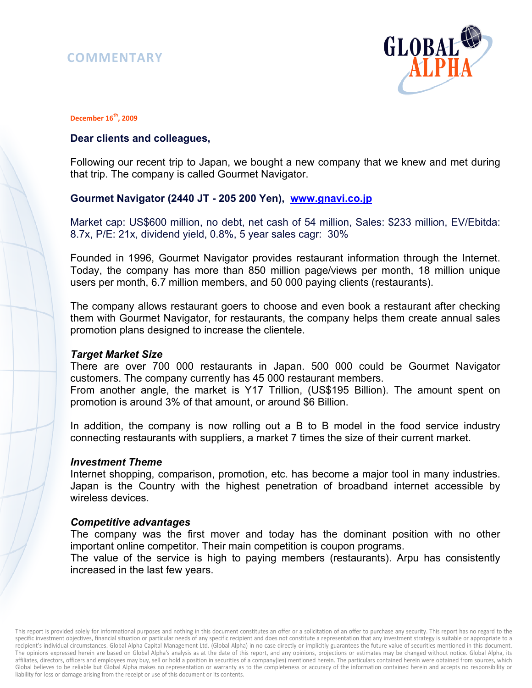# **COMMENTARY**



#### **December 16th, 2009**

### **Dear clients and colleagues,**

Following our recent trip to Japan, we bought a new company that we knew and met during that trip. The company is called Gourmet Navigator.

# **Gourmet Navigator (2440 JT - 205 200 Yen), www.gnavi.co.jp**

Market cap: US\$600 million, no debt, net cash of 54 million, Sales: \$233 million, EV/Ebitda: 8.7x, P/E: 21x, dividend yield, 0.8%, 5 year sales cagr: 30%

Founded in 1996, Gourmet Navigator provides restaurant information through the Internet. Today, the company has more than 850 million page/views per month, 18 million unique users per month, 6.7 million members, and 50 000 paying clients (restaurants).

The company allows restaurant goers to choose and even book a restaurant after checking them with Gourmet Navigator, for restaurants, the company helps them create annual sales promotion plans designed to increase the clientele.

### *Target Market Size*

There are over 700 000 restaurants in Japan. 500 000 could be Gourmet Navigator customers. The company currently has 45 000 restaurant members. From another angle, the market is Y17 Trillion, (US\$195 Billion). The amount spent on promotion is around 3% of that amount, or around \$6 Billion.

In addition, the company is now rolling out a B to B model in the food service industry connecting restaurants with suppliers, a market 7 times the size of their current market.

#### *Investment Theme*

Internet shopping, comparison, promotion, etc. has become a major tool in many industries. Japan is the Country with the highest penetration of broadband internet accessible by wireless devices.

### *Competitive advantages*

The company was the first mover and today has the dominant position with no other important online competitor. Their main competition is coupon programs.

The value of the service is high to paying members (restaurants). Arpu has consistently increased in the last few years.

This report is provided solely for informational purposes and nothing in this document constitutes an offer or a solicitation of an offer to purchase any security. This report has no regard to the specific investment objectives, financial situation or particular needs of any specific recipient and does not constitute a representation that any investment strategy is suitable or appropriate to a recipient's individual circumstances. Global Alpha Capital Management Ltd. (Global Alpha) in no case directly or implicitly guarantees the future value of securities mentioned in this document. The opinions expressed herein are based on Global Alpha's analysis as at the date of this report, and any opinions, projections or estimates may be changed without notice. Global Alpha, its affiliates, directors, officers and employees may buy, sell or hold a position in securities of a company(ies) mentioned herein. The particulars contained herein were obtained from sources, which Global believes to be reliable but Global Alpha makes no representation or warranty as to the completeness or accuracy of the information contained herein and accepts no responsibility or liability for loss or damage arising from the receipt or use of this document or its contents.